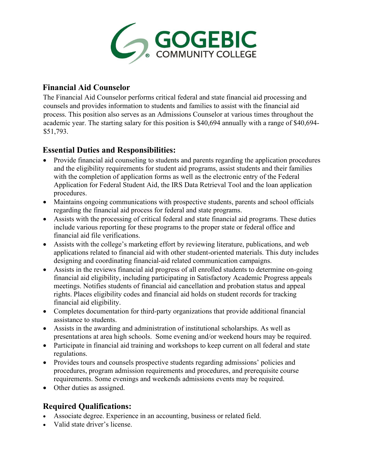

## **Financial Aid Counselor**

The Financial Aid Counselor performs critical federal and state financial aid processing and counsels and provides information to students and families to assist with the financial aid process. This position also serves as an Admissions Counselor at various times throughout the academic year. The starting salary for this position is \$40,694 annually with a range of \$40,694- \$51,793.

## **Essential Duties and Responsibilities:**

- Provide financial aid counseling to students and parents regarding the application procedures and the eligibility requirements for student aid programs, assist students and their families with the completion of application forms as well as the electronic entry of the Federal Application for Federal Student Aid, the IRS Data Retrieval Tool and the loan application procedures.
- Maintains ongoing communications with prospective students, parents and school officials regarding the financial aid process for federal and state programs.
- Assists with the processing of critical federal and state financial aid programs. These duties include various reporting for these programs to the proper state or federal office and financial aid file verifications.
- Assists with the college's marketing effort by reviewing literature, publications, and web applications related to financial aid with other student-oriented materials. This duty includes designing and coordinating financial-aid related communication campaigns.
- Assists in the reviews financial aid progress of all enrolled students to determine on-going financial aid eligibility, including participating in Satisfactory Academic Progress appeals meetings. Notifies students of financial aid cancellation and probation status and appeal rights. Places eligibility codes and financial aid holds on student records for tracking financial aid eligibility.
- Completes documentation for third-party organizations that provide additional financial assistance to students.
- Assists in the awarding and administration of institutional scholarships. As well as presentations at area high schools. Some evening and/or weekend hours may be required.
- Participate in financial aid training and workshops to keep current on all federal and state regulations.
- Provides tours and counsels prospective students regarding admissions' policies and procedures, program admission requirements and procedures, and prerequisite course requirements. Some evenings and weekends admissions events may be required.
- Other duties as assigned.

# **Required Qualifications:**

- Associate degree. Experience in an accounting, business or related field.
- Valid state driver's license.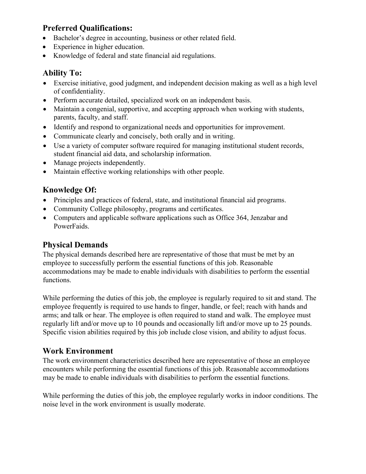## **Preferred Qualifications:**

- Bachelor's degree in accounting, business or other related field.
- Experience in higher education.
- Knowledge of federal and state financial aid regulations.

### **Ability To:**

- Exercise initiative, good judgment, and independent decision making as well as a high level of confidentiality.
- Perform accurate detailed, specialized work on an independent basis.
- Maintain a congenial, supportive, and accepting approach when working with students, parents, faculty, and staff.
- Identify and respond to organizational needs and opportunities for improvement.
- Communicate clearly and concisely, both orally and in writing.
- Use a variety of computer software required for managing institutional student records, student financial aid data, and scholarship information.
- Manage projects independently.
- Maintain effective working relationships with other people.

# **Knowledge Of:**

- Principles and practices of federal, state, and institutional financial aid programs.
- Community College philosophy, programs and certificates.
- Computers and applicable software applications such as Office 364, Jenzabar and PowerFaids.

## **Physical Demands**

The physical demands described here are representative of those that must be met by an employee to successfully perform the essential functions of this job. Reasonable accommodations may be made to enable individuals with disabilities to perform the essential functions.

While performing the duties of this job, the employee is regularly required to sit and stand. The employee frequently is required to use hands to finger, handle, or feel; reach with hands and arms; and talk or hear. The employee is often required to stand and walk. The employee must regularly lift and/or move up to 10 pounds and occasionally lift and/or move up to 25 pounds. Specific vision abilities required by this job include close vision, and ability to adjust focus.

## **Work Environment**

The work environment characteristics described here are representative of those an employee encounters while performing the essential functions of this job. Reasonable accommodations may be made to enable individuals with disabilities to perform the essential functions.

While performing the duties of this job, the employee regularly works in indoor conditions. The noise level in the work environment is usually moderate.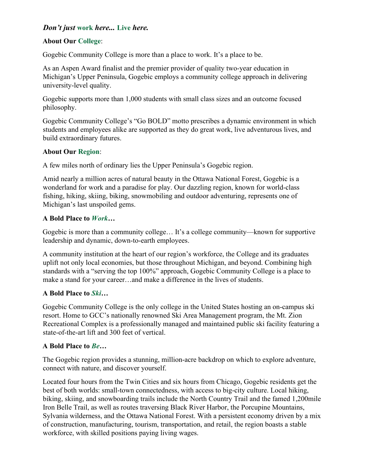### *Don't just* **work** *here...* **Live** *here.*

### **About Our College**:

Gogebic Community College is more than a place to work. It's a place to be.

As an Aspen Award finalist and the premier provider of quality two-year education in Michigan's Upper Peninsula, Gogebic employs a community college approach in delivering university-level quality.

Gogebic supports more than 1,000 students with small class sizes and an outcome focused philosophy.

Gogebic Community College's "Go BOLD" motto prescribes a dynamic environment in which students and employees alike are supported as they do great work, live adventurous lives, and build extraordinary futures.

#### **About Our Region**:

A few miles north of ordinary lies the Upper Peninsula's Gogebic region.

Amid nearly a million acres of natural beauty in the Ottawa National Forest, Gogebic is a wonderland for work and a paradise for play. Our dazzling region, known for world-class fishing, hiking, skiing, biking, snowmobiling and outdoor adventuring, represents one of Michigan's last unspoiled gems.

#### **A Bold Place to** *Work***…**

Gogebic is more than a community college… It's a college community—known for supportive leadership and dynamic, down-to-earth employees.

A community institution at the heart of our region's workforce, the College and its graduates uplift not only local economies, but those throughout Michigan, and beyond. Combining high standards with a "serving the top 100%" approach, Gogebic Community College is a place to make a stand for your career…and make a difference in the lives of students.

### **A Bold Place to** *Ski…*

Gogebic Community College is the only college in the United States hosting an on-campus ski resort. Home to GCC's nationally renowned Ski Area Management program, the Mt. Zion Recreational Complex is a professionally managed and maintained public ski facility featuring a state-of-the-art lift and 300 feet of vertical.

### **A Bold Place to** *Be…*

The Gogebic region provides a stunning, million-acre backdrop on which to explore adventure, connect with nature, and discover yourself.

Located four hours from the Twin Cities and six hours from Chicago, Gogebic residents get the best of both worlds: small-town connectedness, with access to big-city culture. Local hiking, biking, skiing, and snowboarding trails include the North Country Trail and the famed 1,200mile Iron Belle Trail, as well as routes traversing Black River Harbor, the Porcupine Mountains, Sylvania wilderness, and the Ottawa National Forest. With a persistent economy driven by a mix of construction, manufacturing, tourism, transportation, and retail, the region boasts a stable workforce, with skilled positions paying living wages.